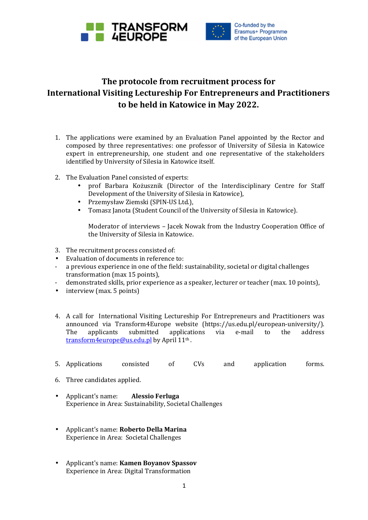



## **The protocole from recruitment process for International Visiting Lectureship For Entrepreneurs and Practitioners to be held in Katowice in May 2022.**

- 1. The applications were examined by an Evaluation Panel appointed by the Rector and composed by three representatives: one professor of University of Silesia in Katowice expert in entrepreneurship, one student and one representative of the stakeholders identified by University of Silesia in Katowice itself.
- 2. The Evaluation Panel consisted of experts:
	- prof Barbara Kożusznik (Director of the Interdisciplinary Centre for Staff Development of the University of Silesia in Katowice),
	- Przemysław Ziemski (SPIN-US Ltd.),
	- Tomasz Janota (Student Council of the University of Silesia in Katowice).

Moderator of interviews – Jacek Nowak from the Industry Cooperation Office of the University of Silesia in Katowice.

- 3. The recruitment process consisted of:
- Evaluation of documents in reference to:
- a previous experience in one of the field: sustainability, societal or digital challenges transformation (max 15 points),
- demonstrated skills, prior experience as a speaker, lecturer or teacher (max. 10 points),
- interview (max. 5 points)
- 4. A call for International Visiting Lectureship For Entrepreneurs and Practitioners was announced via Transform4Europe website (https://us.edu.pl/european-university/). The applicants submitted applications via e-mail to the address <mark>transform4europe@us.edu.pl</mark> by April 11<sup>th</sup>.
- 5. Applications consisted of CVs and application forms.
- 6. Three candidates applied.
- Applicant's name: **Alessio Ferluga**  Experience in Area: Sustainability, Societal Challenges
- Applicant's name: **Roberto Della Marina**  Experience in Area: Societal Challenges
- Applicant's name: **Kamen Boyanov Spassov**  Experience in Area: Digital Transformation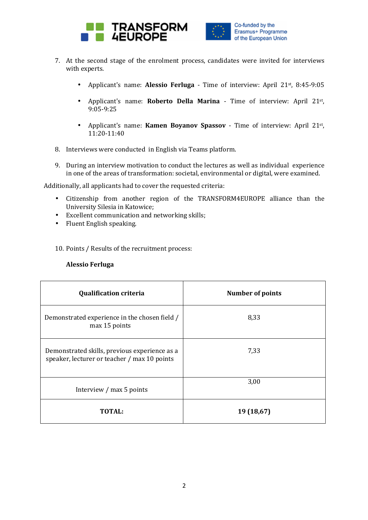



- 7. At the second stage of the enrolment process, candidates were invited for interviews with experts.
	- Applicant's name: **Alessio Ferluga** Time of interview: April 21st, 8:45-9:05
	- Applicant's name: **Roberto Della Marina** Time of interview: April 21st , 9:05-9:25
	- Applicant's name: **Kamen Boyanov Spassov** Time of interview: April 21st , 11:20-11:40
- 8. Interviews were conducted in English via Teams platform.
- 9. During an interview motivation to conduct the lectures as well as individual experience in one of the areas of transformation: societal, environmental or digital, were examined.

Additionally, all applicants had to cover the requested criteria:

- Citizenship from another region of the TRANSFORM4EUROPE alliance than the University Silesia in Katowice;
- Excellent communication and networking skills;
- Fluent English speaking.

10. Points / Results of the recruitment process:

## **Alessio Ferluga**

| <b>Qualification criteria</b>                                                                 | <b>Number of points</b> |
|-----------------------------------------------------------------------------------------------|-------------------------|
| Demonstrated experience in the chosen field /<br>max 15 points                                | 8,33                    |
| Demonstrated skills, previous experience as a<br>speaker, lecturer or teacher / max 10 points | 7,33                    |
| Interview / max 5 points                                                                      | 3,00                    |
| <b>TOTAL:</b>                                                                                 | 19 (18,67)              |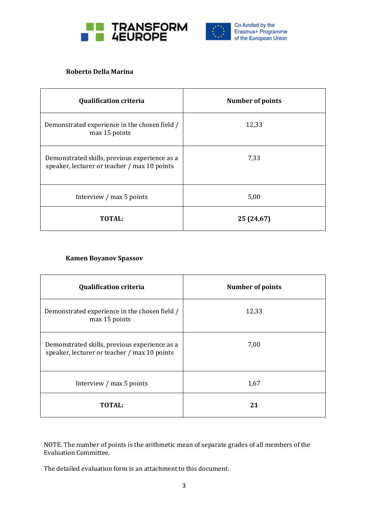



## **Roberto Della Marina**

| <b>Qualification criteria</b>                                                                 | <b>Number of points</b> |
|-----------------------------------------------------------------------------------------------|-------------------------|
| Demonstrated experience in the chosen field /<br>max 15 points                                | 12,33                   |
| Demonstrated skills, previous experience as a<br>speaker, lecturer or teacher / max 10 points | 7,33                    |
| Interview / max 5 points                                                                      | 5,00                    |
| TOTAL:                                                                                        | 25 (24,67)              |

## **Kamen Boyanov Spassov**

| <b>Qualification criteria</b>                                                                 | <b>Number of points</b> |
|-----------------------------------------------------------------------------------------------|-------------------------|
| Demonstrated experience in the chosen field /<br>max 15 points                                | 12,33                   |
| Demonstrated skills, previous experience as a<br>speaker, lecturer or teacher / max 10 points | 7,00                    |
| Interview / max 5 points                                                                      | 1,67                    |
| <b>TOTAL:</b>                                                                                 | 21                      |

NOTE. The number of points is the arithmetic mean of separate grades of all members of the Evaluation Committee.

The detailed evaluation form is an attachment to this document.